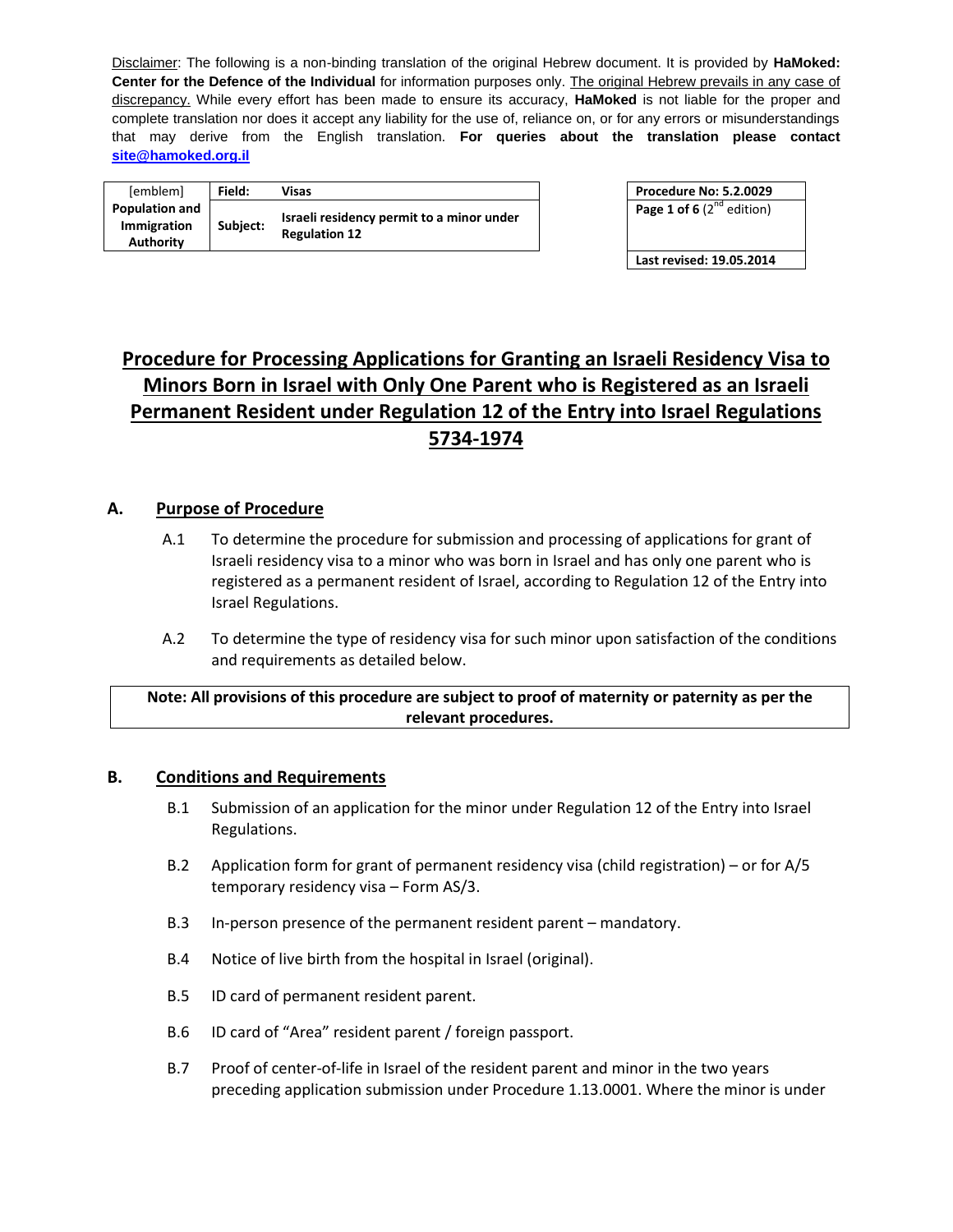Disclaimer: The following is a non-binding translation of the original Hebrew document. It is provided by **HaMoked: Center for the Defence of the Individual** for information purposes only. The original Hebrew prevails in any case of discrepancy. While every effort has been made to ensure its accuracy, **HaMoked** is not liable for the proper and complete translation nor does it accept any liability for the use of, reliance on, or for any errors or misunderstandings that may derive from the English translation. **For queries about the translation please contact site@hamoked.org.il**

| [emblem]                                                 | Field:   | Visas                                                             | <b>Procedure No: 5.2.0029</b>  |
|----------------------------------------------------------|----------|-------------------------------------------------------------------|--------------------------------|
| <b>Population and</b><br><b>Immigration</b><br>Authority | Subiect: | Israeli residency permit to a minor under<br><b>Regulation 12</b> | Page 1 of 6 $(2^{nd}$ edition) |

| <b>Procedure No: 5.2.0029</b>  |  |
|--------------------------------|--|
| Page 1 of 6 $(2^{nd}$ edition) |  |

**Last revised: 19.05.2014**

# **Procedure for Processing Applications for Granting an Israeli Residency Visa to Minors Born in Israel with Only One Parent who is Registered as an Israeli Permanent Resident under Regulation 12 of the Entry into Israel Regulations 5734-1974**

## **A. Purpose of Procedure**

- A.1 To determine the procedure for submission and processing of applications for grant of Israeli residency visa to a minor who was born in Israel and has only one parent who is registered as a permanent resident of Israel, according to Regulation 12 of the Entry into Israel Regulations.
- A.2 To determine the type of residency visa for such minor upon satisfaction of the conditions and requirements as detailed below.

## **Note: All provisions of this procedure are subject to proof of maternity or paternity as per the relevant procedures.**

#### **B. Conditions and Requirements**

- B.1 Submission of an application for the minor under Regulation 12 of the Entry into Israel Regulations.
- B.2 Application form for grant of permanent residency visa (child registration) or for A/5 temporary residency visa – Form AS/3.
- B.3 In-person presence of the permanent resident parent mandatory.
- B.4 Notice of live birth from the hospital in Israel (original).
- B.5 ID card of permanent resident parent.
- B.6 ID card of "Area" resident parent / foreign passport.
- B.7 Proof of center-of-life in Israel of the resident parent and minor in the two years preceding application submission under Procedure 1.13.0001. Where the minor is under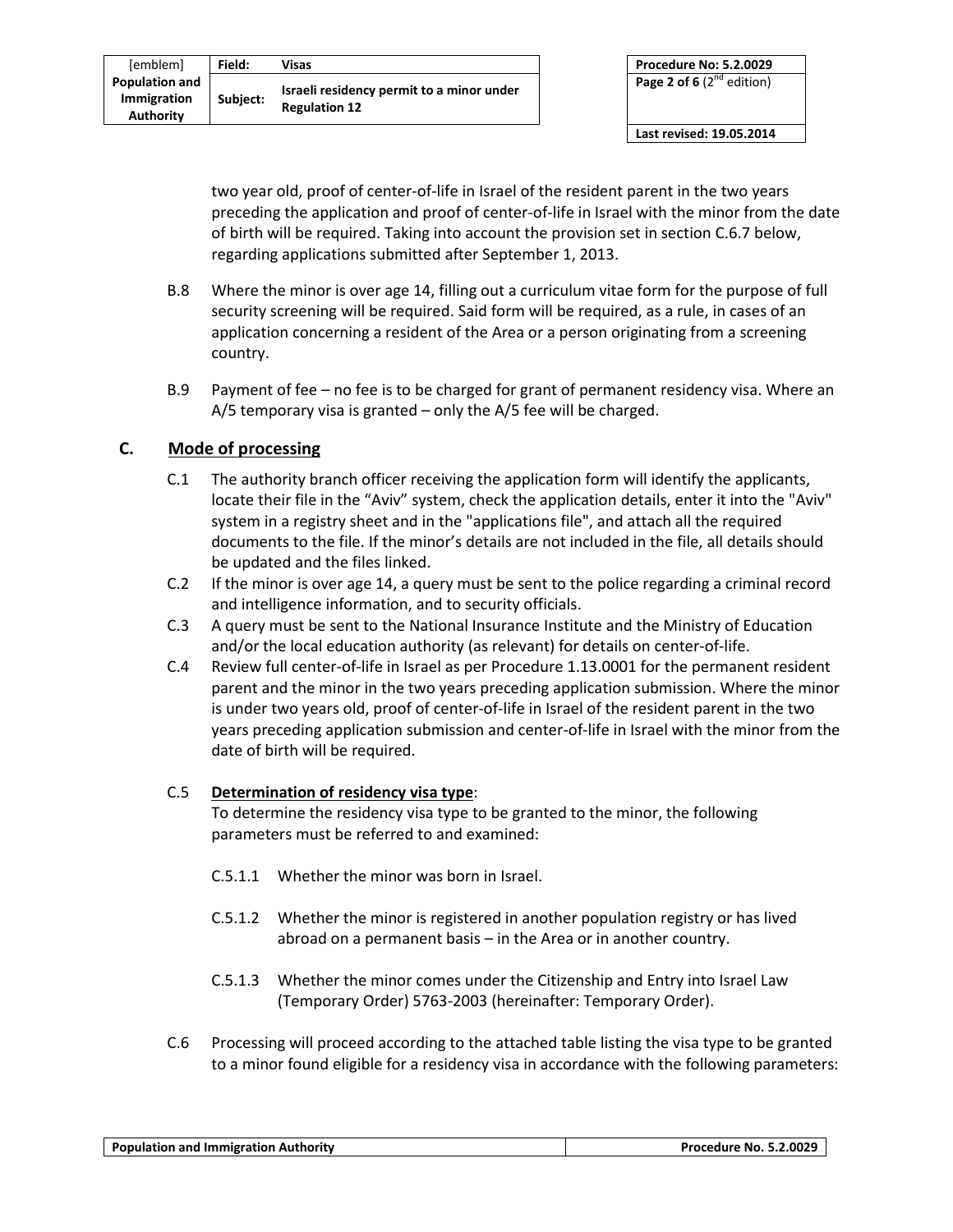| [emblem]                                          | Field:   | Visas                                                             |
|---------------------------------------------------|----------|-------------------------------------------------------------------|
| <b>Population and</b><br>Immigration<br>Authority | Subject: | Israeli residency permit to a minor under<br><b>Regulation 12</b> |

two year old, proof of center-of-life in Israel of the resident parent in the two years preceding the application and proof of center-of-life in Israel with the minor from the date of birth will be required. Taking into account the provision set in section C.6.7 below, regarding applications submitted after September 1, 2013.

- B.8 Where the minor is over age 14, filling out a curriculum vitae form for the purpose of full security screening will be required. Said form will be required, as a rule, in cases of an application concerning a resident of the Area or a person originating from a screening country.
- B.9 Payment of fee no fee is to be charged for grant of permanent residency visa. Where an A/5 temporary visa is granted – only the A/5 fee will be charged.

# **C. Mode of processing**

- C.1 The authority branch officer receiving the application form will identify the applicants, locate their file in the "Aviv" system, check the application details, enter it into the "Aviv" system in a registry sheet and in the "applications file", and attach all the required documents to the file. If the minor's details are not included in the file, all details should be updated and the files linked.
- C.2 If the minor is over age 14, a query must be sent to the police regarding a criminal record and intelligence information, and to security officials.
- C.3 A query must be sent to the National Insurance Institute and the Ministry of Education and/or the local education authority (as relevant) for details on center-of-life.
- C.4 Review full center-of-life in Israel as per Procedure 1.13.0001 for the permanent resident parent and the minor in the two years preceding application submission. Where the minor is under two years old, proof of center-of-life in Israel of the resident parent in the two years preceding application submission and center-of-life in Israel with the minor from the date of birth will be required.

## C.5 **Determination of residency visa type**:

To determine the residency visa type to be granted to the minor, the following parameters must be referred to and examined:

- C.5.1.1 Whether the minor was born in Israel.
- C.5.1.2 Whether the minor is registered in another population registry or has lived abroad on a permanent basis – in the Area or in another country.
- C.5.1.3 Whether the minor comes under the Citizenship and Entry into Israel Law (Temporary Order) 5763-2003 (hereinafter: Temporary Order).
- C.6 Processing will proceed according to the attached table listing the visa type to be granted to a minor found eligible for a residency visa in accordance with the following parameters: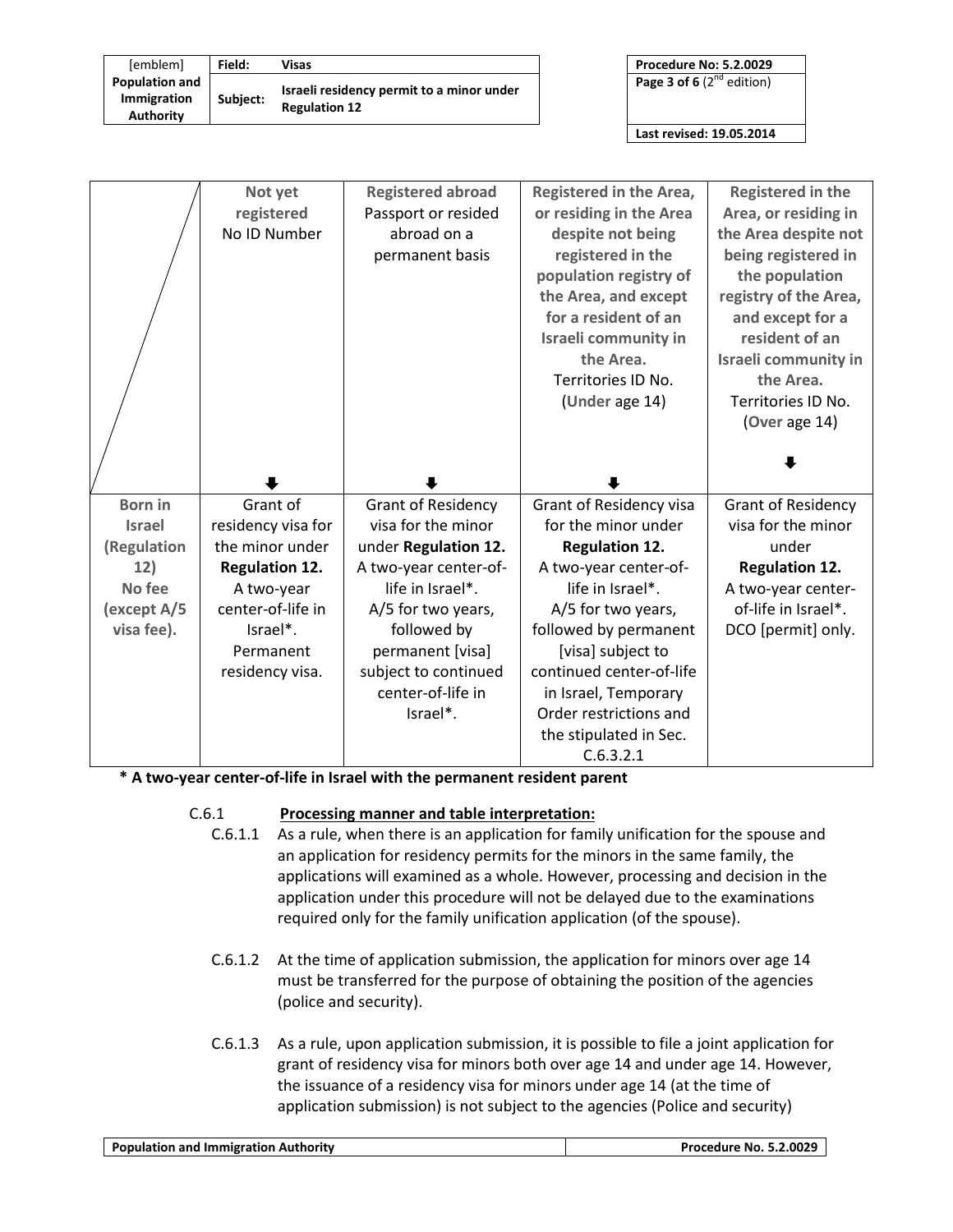| [emblem]                                                 | Field:   | Visas                                                             | <b>Procedure No: 5.2.0029</b>  |
|----------------------------------------------------------|----------|-------------------------------------------------------------------|--------------------------------|
| <b>Population and</b><br><b>Immigration</b><br>Authority | Subiect: | Israeli residency permit to a minor under<br><b>Regulation 12</b> | Page 3 of 6 $(2^{nd}$ edition) |

| <b>Procedure No: 5.2.0029</b> |  |
|-------------------------------|--|
|                               |  |

**Last revised: 19.05.2014**

|                | Not yet               | <b>Registered abroad</b>  | Registered in the Area,             | <b>Registered in the</b>    |
|----------------|-----------------------|---------------------------|-------------------------------------|-----------------------------|
|                | registered            | Passport or resided       | or residing in the Area             | Area, or residing in        |
|                | No ID Number          | abroad on a               | despite not being                   | the Area despite not        |
|                |                       | permanent basis           | registered in the                   | being registered in         |
|                |                       |                           | population registry of              | the population              |
|                |                       |                           | the Area, and except                | registry of the Area,       |
|                |                       |                           | for a resident of an                | and except for a            |
|                |                       |                           | Israeli community in                | resident of an              |
|                |                       |                           | the Area.                           | <b>Israeli community in</b> |
|                |                       |                           | Territories ID No.                  | the Area.                   |
|                |                       |                           | (Under age 14)                      | Territories ID No.          |
|                |                       |                           |                                     | (Over age 14)               |
|                |                       |                           |                                     |                             |
|                |                       |                           |                                     |                             |
|                |                       |                           |                                     |                             |
|                |                       |                           |                                     |                             |
| <b>Born</b> in | Grant of              | <b>Grant of Residency</b> | Grant of Residency visa             | <b>Grant of Residency</b>   |
| <b>Israel</b>  | residency visa for    | visa for the minor        | for the minor under                 | visa for the minor          |
| (Regulation    | the minor under       | under Regulation 12.      | <b>Regulation 12.</b>               | under                       |
| 12)            | <b>Regulation 12.</b> | A two-year center-of-     | A two-year center-of-               | <b>Regulation 12.</b>       |
| No fee         | A two-year            | life in Israel*.          | life in Israel*.                    | A two-year center-          |
| except A/5)    | center-of-life in     | A/5 for two years,        | A/5 for two years,                  | of-life in Israel*.         |
| visa fee).     | Israel*.              | followed by               | followed by permanent               | DCO [permit] only.          |
|                | Permanent             | permanent [visa]          | [visa] subject to                   |                             |
|                | residency visa.       | subject to continued      | continued center-of-life            |                             |
|                |                       | center-of-life in         | in Israel, Temporary                |                             |
|                |                       | Israel*.                  | Order restrictions and              |                             |
|                |                       |                           | the stipulated in Sec.<br>C.6.3.2.1 |                             |

**\* A two-year center-of-life in Israel with the permanent resident parent**

#### C.6.1 **Processing manner and table interpretation:**

- C.6.1.1 As a rule, when there is an application for family unification for the spouse and an application for residency permits for the minors in the same family, the applications will examined as a whole. However, processing and decision in the application under this procedure will not be delayed due to the examinations required only for the family unification application (of the spouse).
- C.6.1.2 At the time of application submission, the application for minors over age 14 must be transferred for the purpose of obtaining the position of the agencies (police and security).
- C.6.1.3 As a rule, upon application submission, it is possible to file a joint application for grant of residency visa for minors both over age 14 and under age 14. However, the issuance of a residency visa for minors under age 14 (at the time of application submission) is not subject to the agencies (Police and security)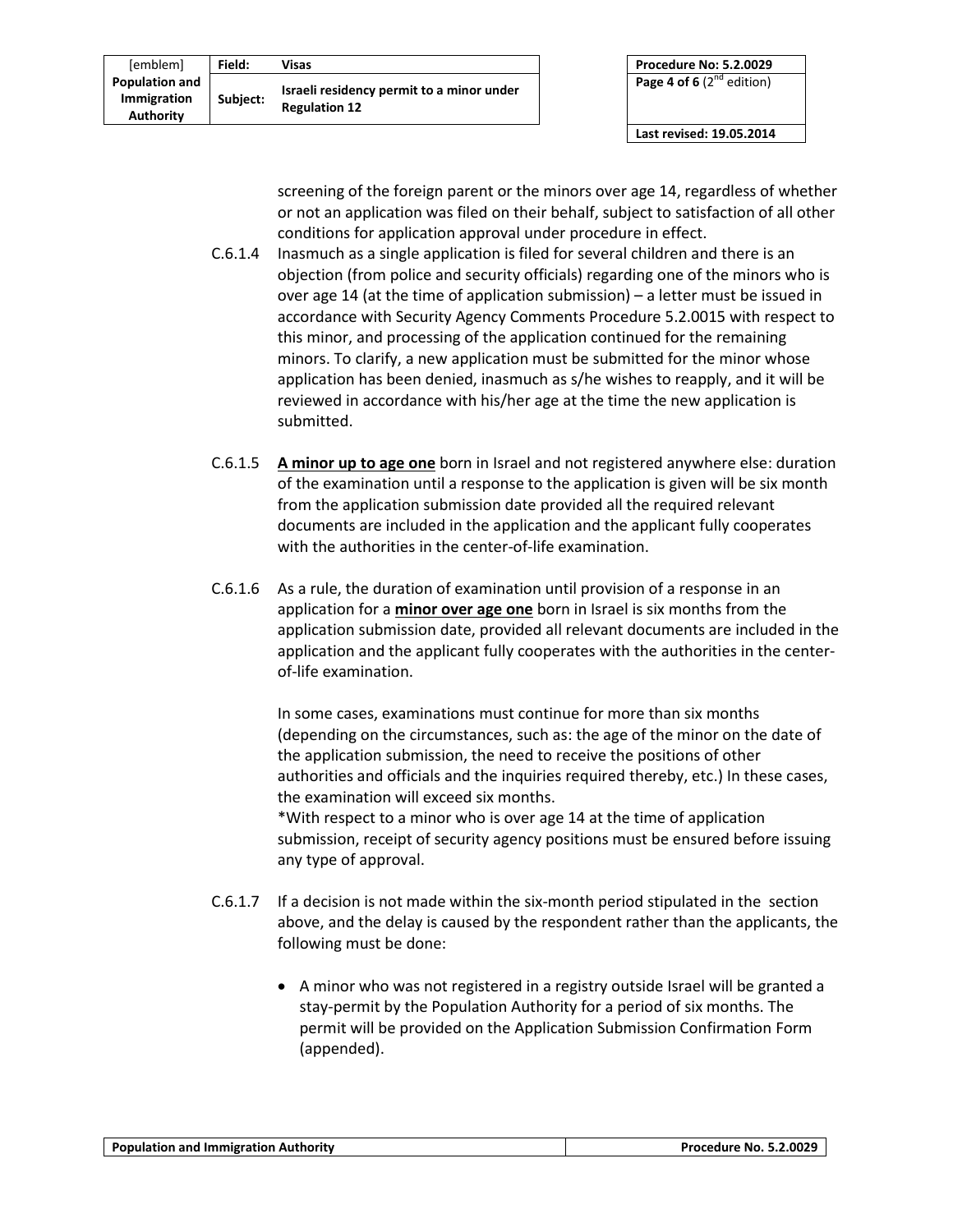| [emblem]                                                 | Field:   | Visas                                                             |
|----------------------------------------------------------|----------|-------------------------------------------------------------------|
| <b>Population and</b><br>Immigration<br><b>Authority</b> | Subject: | Israeli residency permit to a minor under<br><b>Regulation 12</b> |

**Last revised: 19.05.2014**

screening of the foreign parent or the minors over age 14, regardless of whether or not an application was filed on their behalf, subject to satisfaction of all other conditions for application approval under procedure in effect.

- C.6.1.4 Inasmuch as a single application is filed for several children and there is an objection (from police and security officials) regarding one of the minors who is over age 14 (at the time of application submission) – a letter must be issued in accordance with Security Agency Comments Procedure 5.2.0015 with respect to this minor, and processing of the application continued for the remaining minors. To clarify, a new application must be submitted for the minor whose application has been denied, inasmuch as s/he wishes to reapply, and it will be reviewed in accordance with his/her age at the time the new application is submitted.
- C.6.1.5 **A minor up to age one** born in Israel and not registered anywhere else: duration of the examination until a response to the application is given will be six month from the application submission date provided all the required relevant documents are included in the application and the applicant fully cooperates with the authorities in the center-of-life examination.
- C.6.1.6 As a rule, the duration of examination until provision of a response in an application for a **minor over age one** born in Israel is six months from the application submission date, provided all relevant documents are included in the application and the applicant fully cooperates with the authorities in the centerof-life examination.

In some cases, examinations must continue for more than six months (depending on the circumstances, such as: the age of the minor on the date of the application submission, the need to receive the positions of other authorities and officials and the inquiries required thereby, etc.) In these cases, the examination will exceed six months.

\*With respect to a minor who is over age 14 at the time of application submission, receipt of security agency positions must be ensured before issuing any type of approval.

- C.6.1.7 If a decision is not made within the six-month period stipulated in the section above, and the delay is caused by the respondent rather than the applicants, the following must be done:
	- A minor who was not registered in a registry outside Israel will be granted a stay-permit by the Population Authority for a period of six months. The permit will be provided on the Application Submission Confirmation Form (appended).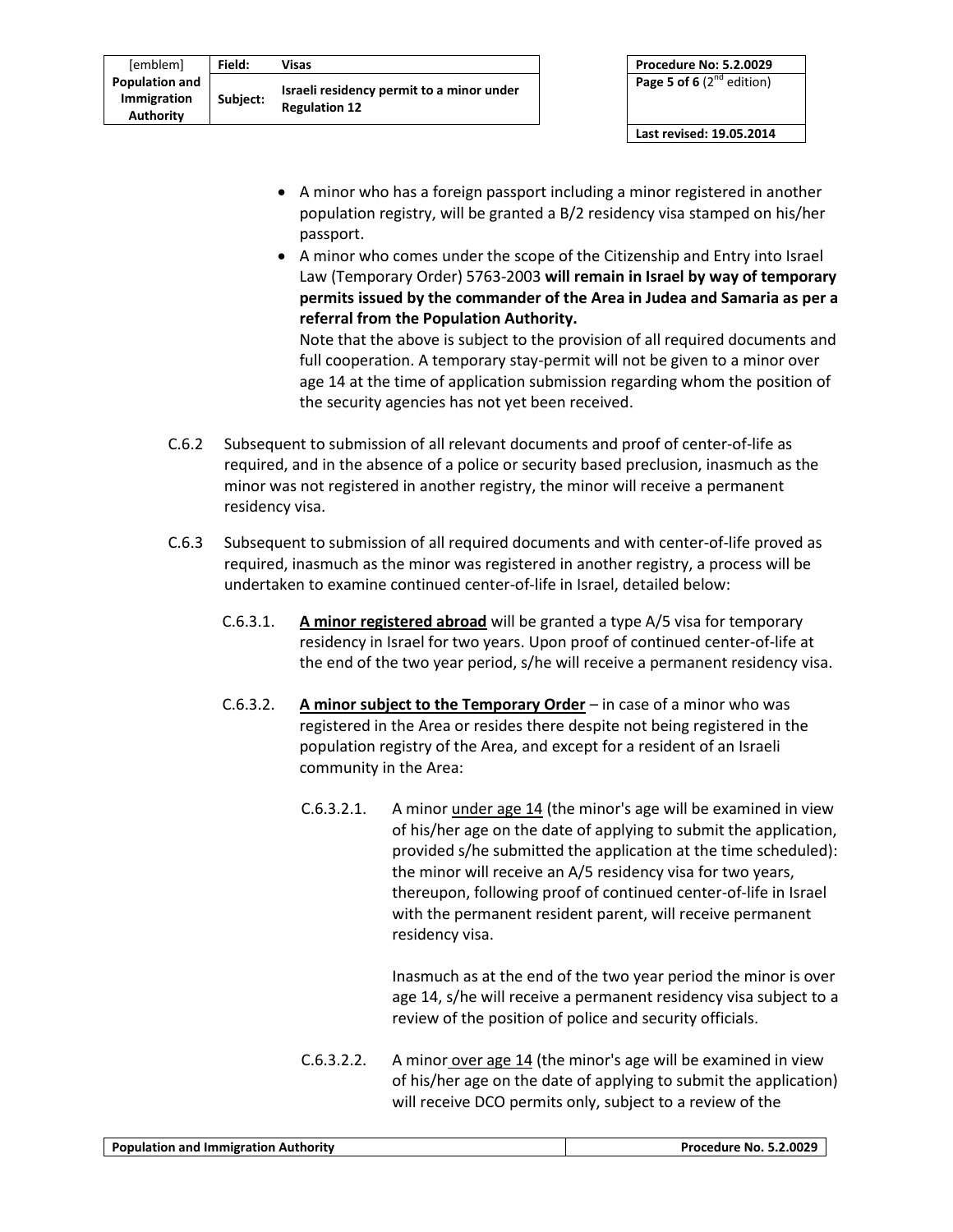| [emblem]                                                 | Field:   | Visas                                                             |
|----------------------------------------------------------|----------|-------------------------------------------------------------------|
| <b>Population and</b><br>Immigration<br><b>Authority</b> | Subject: | Israeli residency permit to a minor under<br><b>Regulation 12</b> |

**Last revised: 19.05.2014**

- A minor who has a foreign passport including a minor registered in another population registry, will be granted a B/2 residency visa stamped on his/her passport.
- A minor who comes under the scope of the Citizenship and Entry into Israel Law (Temporary Order) 5763-2003 **will remain in Israel by way of temporary permits issued by the commander of the Area in Judea and Samaria as per a referral from the Population Authority.**

Note that the above is subject to the provision of all required documents and full cooperation. A temporary stay-permit will not be given to a minor over age 14 at the time of application submission regarding whom the position of the security agencies has not yet been received.

- C.6.2 Subsequent to submission of all relevant documents and proof of center-of-life as required, and in the absence of a police or security based preclusion, inasmuch as the minor was not registered in another registry, the minor will receive a permanent residency visa.
- C.6.3 Subsequent to submission of all required documents and with center-of-life proved as required, inasmuch as the minor was registered in another registry, a process will be undertaken to examine continued center-of-life in Israel, detailed below:
	- C.6.3.1. **A minor registered abroad** will be granted a type A/5 visa for temporary residency in Israel for two years. Upon proof of continued center-of-life at the end of the two year period, s/he will receive a permanent residency visa.
	- C.6.3.2. **A minor subject to the Temporary Order** in case of a minor who was registered in the Area or resides there despite not being registered in the population registry of the Area, and except for a resident of an Israeli community in the Area:
		- C.6.3.2.1. A minor under age 14 (the minor's age will be examined in view of his/her age on the date of applying to submit the application, provided s/he submitted the application at the time scheduled): the minor will receive an A/5 residency visa for two years, thereupon, following proof of continued center-of-life in Israel with the permanent resident parent, will receive permanent residency visa.

Inasmuch as at the end of the two year period the minor is over age 14, s/he will receive a permanent residency visa subject to a review of the position of police and security officials.

C.6.3.2.2. A minor over age  $14$  (the minor's age will be examined in view of his/her age on the date of applying to submit the application) will receive DCO permits only, subject to a review of the

|  | <b>Population and Immigration Authority</b> | <b>Procedure No. 5.2.0029</b> |
|--|---------------------------------------------|-------------------------------|
|--|---------------------------------------------|-------------------------------|